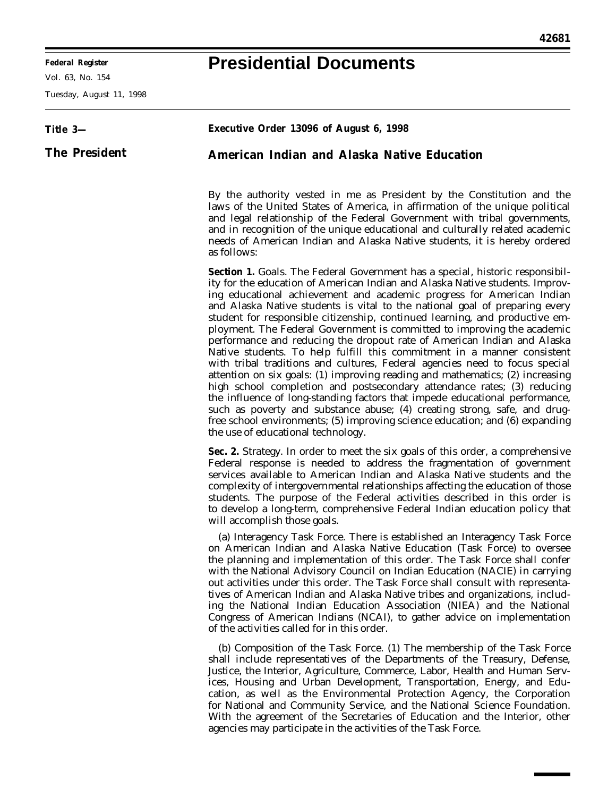٠

## **Presidential Documents**

Vol. 63, No. 154

Tuesday, August 11, 1998

| Title 3-             | Executive Order 13096 of August 6, 1998                                                                                                                                                                                                                                                                                                                                                                                                                                                                                                                                                                                                                                                                                                                                                                                                                                                                                                                                                                                                                                                                                                                                   |
|----------------------|---------------------------------------------------------------------------------------------------------------------------------------------------------------------------------------------------------------------------------------------------------------------------------------------------------------------------------------------------------------------------------------------------------------------------------------------------------------------------------------------------------------------------------------------------------------------------------------------------------------------------------------------------------------------------------------------------------------------------------------------------------------------------------------------------------------------------------------------------------------------------------------------------------------------------------------------------------------------------------------------------------------------------------------------------------------------------------------------------------------------------------------------------------------------------|
| <b>The President</b> | American Indian and Alaska Native Education                                                                                                                                                                                                                                                                                                                                                                                                                                                                                                                                                                                                                                                                                                                                                                                                                                                                                                                                                                                                                                                                                                                               |
|                      | By the authority vested in me as President by the Constitution and the<br>laws of the United States of America, in affirmation of the unique political<br>and legal relationship of the Federal Government with tribal governments,<br>and in recognition of the unique educational and culturally related academic<br>needs of American Indian and Alaska Native students, it is hereby ordered<br>as follows:                                                                                                                                                                                                                                                                                                                                                                                                                                                                                                                                                                                                                                                                                                                                                           |
|                      | <b>Section 1.</b> Goals. The Federal Government has a special, historic responsibil-<br>ity for the education of American Indian and Alaska Native students. Improv-<br>ing educational achievement and academic progress for American Indian<br>and Alaska Native students is vital to the national goal of preparing every<br>student for responsible citizenship, continued learning, and productive em-<br>ployment. The Federal Government is committed to improving the academic<br>performance and reducing the dropout rate of American Indian and Alaska<br>Native students. To help fulfill this commitment in a manner consistent<br>with tribal traditions and cultures, Federal agencies need to focus special<br>attention on six goals: (1) improving reading and mathematics; (2) increasing<br>high school completion and postsecondary attendance rates; (3) reducing<br>the influence of long-standing factors that impede educational performance,<br>such as poverty and substance abuse; (4) creating strong, safe, and drug-<br>free school environments; (5) improving science education; and (6) expanding<br>the use of educational technology. |
|                      | Sec. 2. Strategy. In order to meet the six goals of this order, a comprehensive<br>Federal response is needed to address the fragmentation of government<br>services available to American Indian and Alaska Native students and the<br>complexity of intergovernmental relationships affecting the education of those<br>students. The purpose of the Federal activities described in this order is<br>to develop a long-term, comprehensive Federal Indian education policy that<br>will accomplish those goals.                                                                                                                                                                                                                                                                                                                                                                                                                                                                                                                                                                                                                                                        |
|                      | (a) Interagency Task Force. There is established an Interagency Task Force<br>on American Indian and Alaska Native Education (Task Force) to oversee<br>the planning and implementation of this order. The Task Force shall confer<br>with the National Advisory Council on Indian Education (NACIE) in carrying<br>out activities under this order. The Task Force shall consult with representa-<br>tives of American Indian and Alaska Native tribes and organizations, includ-<br>ing the National Indian Education Association (NIEA) and the National<br>Congress of American Indians (NCAI), to gather advice on implementation<br>of the activities called for in this order.                                                                                                                                                                                                                                                                                                                                                                                                                                                                                     |
|                      | (b) Composition of the Task Force. (1) The membership of the Task Force<br>shall include representatives of the Departments of the Treasury, Defense,<br>Justice, the Interior, Agriculture, Commerce, Labor, Health and Human Serv-<br>ices, Housing and Urban Development, Transportation, Energy, and Edu-<br>cation, as well as the Environmental Protection Agency, the Corporation<br>for National and Community Service, and the National Science Foundation.<br>With the agreement of the Secretaries of Education and the Interior, other<br>agencies may participate in the activities of the Task Force.                                                                                                                                                                                                                                                                                                                                                                                                                                                                                                                                                       |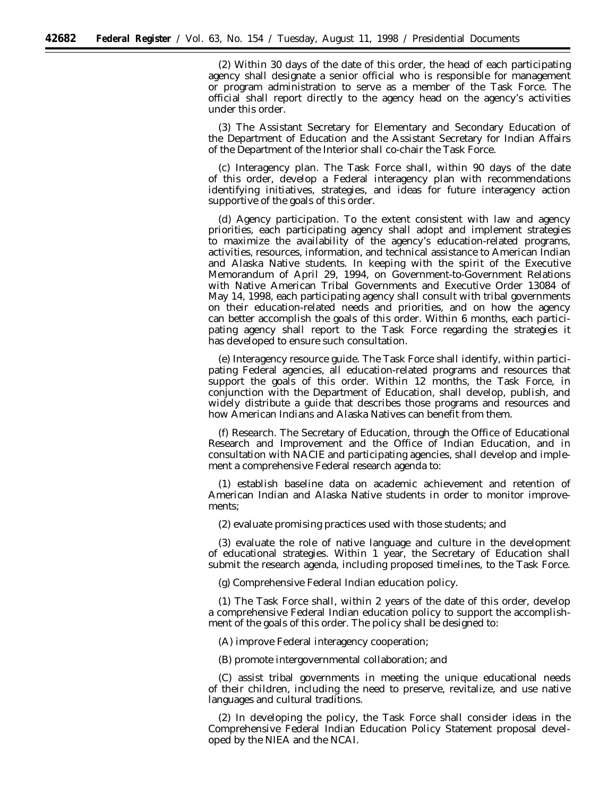(2) Within 30 days of the date of this order, the head of each participating agency shall designate a senior official who is responsible for management or program administration to serve as a member of the Task Force. The official shall report directly to the agency head on the agency's activities under this order.

(3) The Assistant Secretary for Elementary and Secondary Education of the Department of Education and the Assistant Secretary for Indian Affairs of the Department of the Interior shall co-chair the Task Force.

(c) *Interagency plan.* The Task Force shall, within 90 days of the date of this order, develop a Federal interagency plan with recommendations identifying initiatives, strategies, and ideas for future interagency action supportive of the goals of this order.

(d) *Agency participation.* To the extent consistent with law and agency priorities, each participating agency shall adopt and implement strategies to maximize the availability of the agency's education-related programs, activities, resources, information, and technical assistance to American Indian and Alaska Native students. In keeping with the spirit of the Executive Memorandum of April 29, 1994, on Government-to-Government Relations with Native American Tribal Governments and Executive Order 13084 of May 14, 1998, each participating agency shall consult with tribal governments on their education-related needs and priorities, and on how the agency can better accomplish the goals of this order. Within 6 months, each participating agency shall report to the Task Force regarding the strategies it has developed to ensure such consultation.

(e) *Interagency resource guide.* The Task Force shall identify, within participating Federal agencies, all education-related programs and resources that support the goals of this order. Within 12 months, the Task Force, in conjunction with the Department of Education, shall develop, publish, and widely distribute a guide that describes those programs and resources and how American Indians and Alaska Natives can benefit from them.

(f) *Research.* The Secretary of Education, through the Office of Educational Research and Improvement and the Office of Indian Education, and in consultation with NACIE and participating agencies, shall develop and implement a comprehensive Federal research agenda to:

(1) establish baseline data on academic achievement and retention of American Indian and Alaska Native students in order to monitor improvements;

(2) evaluate promising practices used with those students; and

(3) evaluate the role of native language and culture in the development of educational strategies. Within 1 year, the Secretary of Education shall submit the research agenda, including proposed timelines, to the Task Force.

(g) *Comprehensive Federal Indian education policy.*

(1) The Task Force shall, within 2 years of the date of this order, develop a comprehensive Federal Indian education policy to support the accomplishment of the goals of this order. The policy shall be designed to:

(A) improve Federal interagency cooperation;

(B) promote intergovernmental collaboration; and

(C) assist tribal governments in meeting the unique educational needs of their children, including the need to preserve, revitalize, and use native languages and cultural traditions.

(2) In developing the policy, the Task Force shall consider ideas in the Comprehensive Federal Indian Education Policy Statement proposal developed by the NIEA and the NCAI.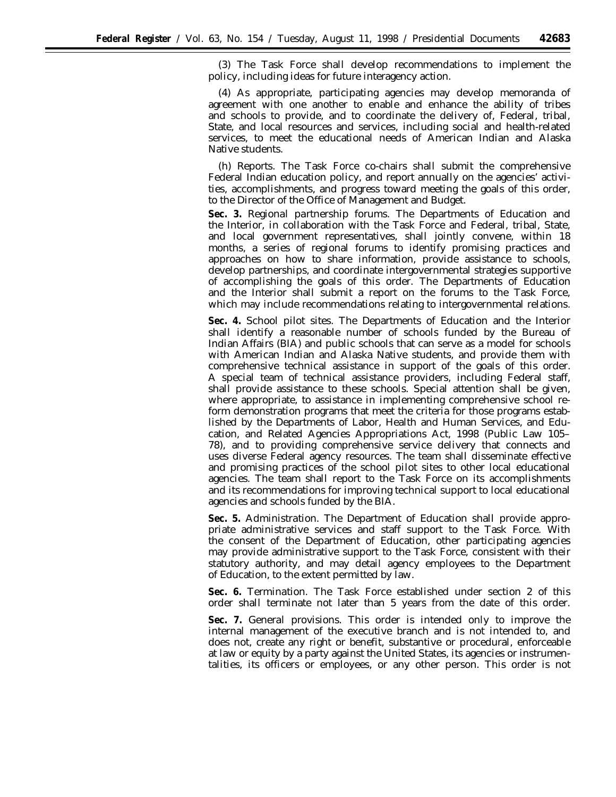(3) The Task Force shall develop recommendations to implement the policy, including ideas for future interagency action.

(4) As appropriate, participating agencies may develop memoranda of agreement with one another to enable and enhance the ability of tribes and schools to provide, and to coordinate the delivery of, Federal, tribal, State, and local resources and services, including social and health-related services, to meet the educational needs of American Indian and Alaska Native students.

(h) *Reports.* The Task Force co-chairs shall submit the comprehensive Federal Indian education policy, and report annually on the agencies' activities, accomplishments, and progress toward meeting the goals of this order, to the Director of the Office of Management and Budget.

**Sec. 3.** *Regional partnership forums.* The Departments of Education and the Interior, in collaboration with the Task Force and Federal, tribal, State, and local government representatives, shall jointly convene, within 18 months, a series of regional forums to identify promising practices and approaches on how to share information, provide assistance to schools, develop partnerships, and coordinate intergovernmental strategies supportive of accomplishing the goals of this order. The Departments of Education and the Interior shall submit a report on the forums to the Task Force, which may include recommendations relating to intergovernmental relations.

**Sec. 4.** *School pilot sites.* The Departments of Education and the Interior shall identify a reasonable number of schools funded by the Bureau of Indian Affairs (BIA) and public schools that can serve as a model for schools with American Indian and Alaska Native students, and provide them with comprehensive technical assistance in support of the goals of this order. A special team of technical assistance providers, including Federal staff, shall provide assistance to these schools. Special attention shall be given, where appropriate, to assistance in implementing comprehensive school reform demonstration programs that meet the criteria for those programs established by the Departments of Labor, Health and Human Services, and Education, and Related Agencies Appropriations Act, 1998 (Public Law 105– 78), and to providing comprehensive service delivery that connects and uses diverse Federal agency resources. The team shall disseminate effective and promising practices of the school pilot sites to other local educational agencies. The team shall report to the Task Force on its accomplishments and its recommendations for improving technical support to local educational agencies and schools funded by the BIA.

**Sec. 5.** *Administration.* The Department of Education shall provide appropriate administrative services and staff support to the Task Force. With the consent of the Department of Education, other participating agencies may provide administrative support to the Task Force, consistent with their statutory authority, and may detail agency employees to the Department of Education, to the extent permitted by law.

**Sec. 6.** *Termination.* The Task Force established under section 2 of this order shall terminate not later than 5 years from the date of this order.

**Sec. 7.** *General provisions.* This order is intended only to improve the internal management of the executive branch and is not intended to, and does not, create any right or benefit, substantive or procedural, enforceable at law or equity by a party against the United States, its agencies or instrumentalities, its officers or employees, or any other person. This order is not